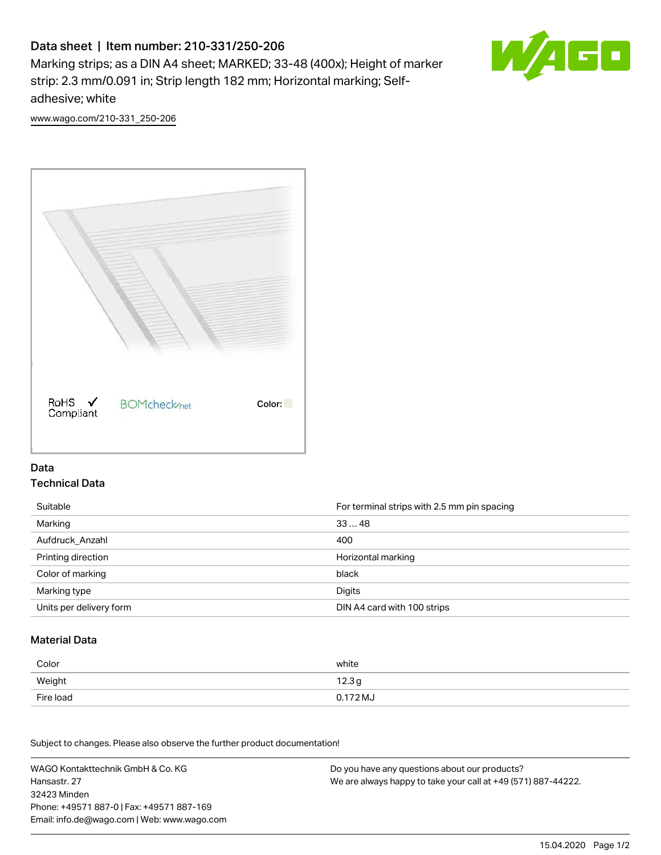# Data sheet | Item number: 210-331/250-206

Marking strips; as a DIN A4 sheet; MARKED; 33-48 (400x); Height of marker strip: 2.3 mm/0.091 in; Strip length 182 mm; Horizontal marking; Selfadhesive; white



[www.wago.com/210-331\\_250-206](http://www.wago.com/210-331_250-206)



### Data Technical Data

| Suitable                | For terminal strips with 2.5 mm pin spacing |
|-------------------------|---------------------------------------------|
| Marking                 | 3348                                        |
| Aufdruck Anzahl         | 400                                         |
| Printing direction      | Horizontal marking                          |
| Color of marking        | black                                       |
| Marking type            | Digits                                      |
| Units per delivery form | DIN A4 card with 100 strips                 |

#### Material Data

| Color     | white  |
|-----------|--------|
| Weight    | 12.3g  |
| Fire load | 0.172M |

Subject to changes. Please also observe the further product documentation!

WAGO Kontakttechnik GmbH & Co. KG Hansastr. 27 32423 Minden Phone: +49571 887-0 | Fax: +49571 887-169 Email: info.de@wago.com | Web: www.wago.com Do you have any questions about our products? We are always happy to take your call at +49 (571) 887-44222.